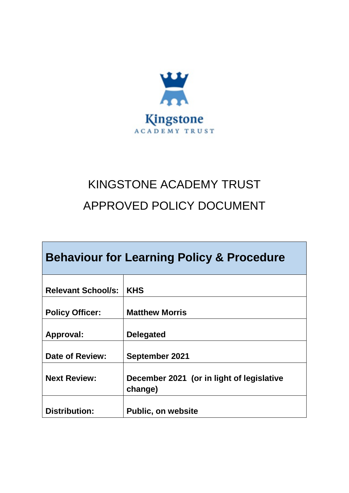

# KINGSTONE ACADEMY TRUST APPROVED POLICY DOCUMENT

| <b>Behaviour for Learning Policy &amp; Procedure</b> |                                                      |  |  |  |
|------------------------------------------------------|------------------------------------------------------|--|--|--|
| <b>Relevant School/s:</b>                            | <b>KHS</b>                                           |  |  |  |
| <b>Policy Officer:</b>                               | <b>Matthew Morris</b>                                |  |  |  |
| Approval:                                            | <b>Delegated</b>                                     |  |  |  |
| Date of Review:                                      | <b>September 2021</b>                                |  |  |  |
| <b>Next Review:</b>                                  | December 2021 (or in light of legislative<br>change) |  |  |  |
| <b>Distribution:</b>                                 | <b>Public, on website</b>                            |  |  |  |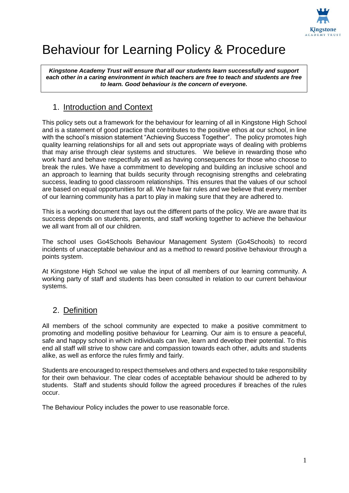

## Behaviour for Learning Policy & Procedure

*Kingstone Academy Trust will ensure that all our students learn successfully and support each other in a caring environment in which teachers are free to teach and students are free to learn. Good behaviour is the concern of everyone.*

### 1. Introduction and Context

This policy sets out a framework for the behaviour for learning of all in Kingstone High School and is a statement of good practice that contributes to the positive ethos at our school, in line with the school's mission statement "Achieving Success Together". The policy promotes high quality learning relationships for all and sets out appropriate ways of dealing with problems that may arise through clear systems and structures. We believe in rewarding those who work hard and behave respectfully as well as having consequences for those who choose to break the rules. We have a commitment to developing and building an inclusive school and an approach to learning that builds security through recognising strengths and celebrating success, leading to good classroom relationships. This ensures that the values of our school are based on equal opportunities for all. We have fair rules and we believe that every member of our learning community has a part to play in making sure that they are adhered to.

This is a working document that lays out the different parts of the policy. We are aware that its success depends on students, parents, and staff working together to achieve the behaviour we all want from all of our children.

The school uses Go4Schools Behaviour Management System (Go4Schools) to record incidents of unacceptable behaviour and as a method to reward positive behaviour through a points system.

At Kingstone High School we value the input of all members of our learning community. A working party of staff and students has been consulted in relation to our current behaviour systems.

### 2. Definition

All members of the school community are expected to make a positive commitment to promoting and modelling positive behaviour for Learning. Our aim is to ensure a peaceful, safe and happy school in which individuals can live, learn and develop their potential. To this end all staff will strive to show care and compassion towards each other, adults and students alike, as well as enforce the rules firmly and fairly.

Students are encouraged to respect themselves and others and expected to take responsibility for their own behaviour. The clear codes of acceptable behaviour should be adhered to by students. Staff and students should follow the agreed procedures if breaches of the rules occur.

The Behaviour Policy includes the power to use reasonable force.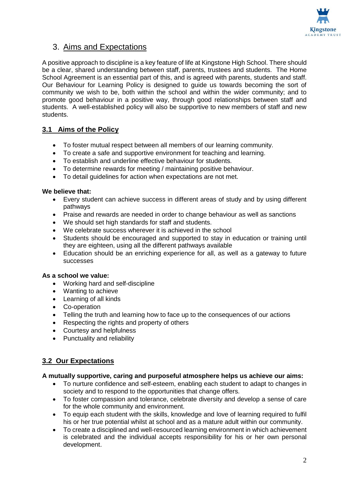

### 3. Aims and Expectations

A positive approach to discipline is a key feature of life at Kingstone High School. There should be a clear, shared understanding between staff, parents, trustees and students. The Home School Agreement is an essential part of this, and is agreed with parents, students and staff. Our Behaviour for Learning Policy is designed to guide us towards becoming the sort of community we wish to be, both within the school and within the wider community; and to promote good behaviour in a positive way, through good relationships between staff and students. A well-established policy will also be supportive to new members of staff and new students.

#### **3.1 Aims of the Policy**

- To foster mutual respect between all members of our learning community.
- To create a safe and supportive environment for teaching and learning.
- To establish and underline effective behaviour for students.
- To determine rewards for meeting / maintaining positive behaviour.
- To detail guidelines for action when expectations are not met.

#### **We believe that:**

- Every student can achieve success in different areas of study and by using different pathways
- Praise and rewards are needed in order to change behaviour as well as sanctions
- We should set high standards for staff and students.
- We celebrate success wherever it is achieved in the school
- Students should be encouraged and supported to stay in education or training until they are eighteen, using all the different pathways available
- Education should be an enriching experience for all, as well as a gateway to future successes

#### **As a school we value:**

- Working hard and self-discipline
- Wanting to achieve
- Learning of all kinds
- Co-operation
- Telling the truth and learning how to face up to the consequences of our actions
- Respecting the rights and property of others
- Courtesy and helpfulness
- Punctuality and reliability

#### **3.2 Our Expectations**

#### **A mutually supportive, caring and purposeful atmosphere helps us achieve our aims:**

- To nurture confidence and self-esteem, enabling each student to adapt to changes in society and to respond to the opportunities that change offers.
- To foster compassion and tolerance, celebrate diversity and develop a sense of care for the whole community and environment.
- To equip each student with the skills, knowledge and love of learning required to fulfil his or her true potential whilst at school and as a mature adult within our community.
- To create a disciplined and well-resourced learning environment in which achievement is celebrated and the individual accepts responsibility for his or her own personal development.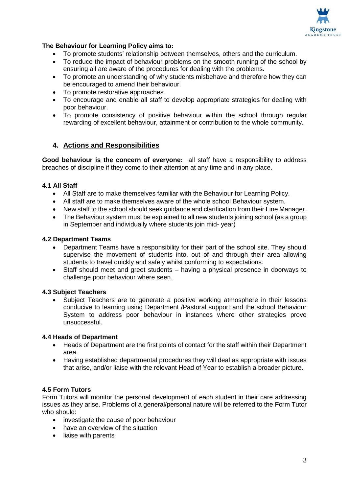

#### **The Behaviour for Learning Policy aims to:**

- To promote students' relationship between themselves, others and the curriculum.
- To reduce the impact of behaviour problems on the smooth running of the school by ensuring all are aware of the procedures for dealing with the problems.
- To promote an understanding of why students misbehave and therefore how they can be encouraged to amend their behaviour.
- To promote restorative approaches
- To encourage and enable all staff to develop appropriate strategies for dealing with poor behaviour.
- To promote consistency of positive behaviour within the school through regular rewarding of excellent behaviour, attainment or contribution to the whole community.

#### **4. Actions and Responsibilities**

**Good behaviour is the concern of everyone:** all staff have a responsibility to address breaches of discipline if they come to their attention at any time and in any place.

#### **4.1 All Staff**

- All Staff are to make themselves familiar with the Behaviour for Learning Policy.
- All staff are to make themselves aware of the whole school Behaviour system.
- New staff to the school should seek guidance and clarification from their Line Manager.
- The Behaviour system must be explained to all new students joining school (as a group in September and individually where students join mid- year)

#### **4.2 Department Teams**

- Department Teams have a responsibility for their part of the school site. They should supervise the movement of students into, out of and through their area allowing students to travel quickly and safely whilst conforming to expectations.
- Staff should meet and greet students having a physical presence in doorways to challenge poor behaviour where seen.

#### **4.3 Subject Teachers**

 Subject Teachers are to generate a positive working atmosphere in their lessons conducive to learning using Department /Pastoral support and the school Behaviour System to address poor behaviour in instances where other strategies prove unsuccessful.

#### **4.4 Heads of Department**

- Heads of Department are the first points of contact for the staff within their Department area.
- Having established departmental procedures they will deal as appropriate with issues that arise, and/or liaise with the relevant Head of Year to establish a broader picture.

#### **4.5 Form Tutors**

Form Tutors will monitor the personal development of each student in their care addressing issues as they arise. Problems of a general/personal nature will be referred to the Form Tutor who should:

- investigate the cause of poor behaviour
- have an overview of the situation
- liaise with parents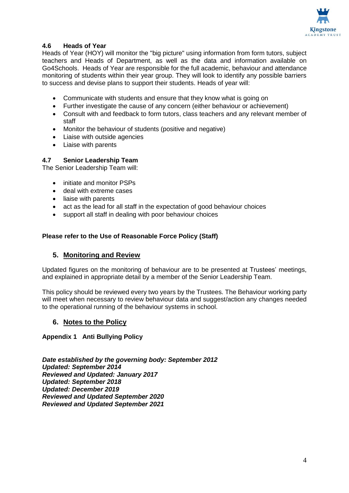

#### **4.6 Heads of Year**

Heads of Year (HOY) will monitor the "big picture" using information from form tutors, subject teachers and Heads of Department, as well as the data and information available on Go4Schools. Heads of Year are responsible for the full academic, behaviour and attendance monitoring of students within their year group. They will look to identify any possible barriers to success and devise plans to support their students. Heads of year will:

- Communicate with students and ensure that they know what is going on
- Further investigate the cause of any concern (either behaviour or achievement)
- Consult with and feedback to form tutors, class teachers and any relevant member of staff
- Monitor the behaviour of students (positive and negative)
- Liaise with outside agencies
- Liaise with parents

#### **4.7 Senior Leadership Team**

The Senior Leadership Team will:

- initiate and monitor PSPs
- deal with extreme cases
- liaise with parents
- act as the lead for all staff in the expectation of good behaviour choices
- support all staff in dealing with poor behaviour choices

#### **Please refer to the Use of Reasonable Force Policy (Staff)**

#### **5. Monitoring and Review**

Updated figures on the monitoring of behaviour are to be presented at Trustees' meetings, and explained in appropriate detail by a member of the Senior Leadership Team.

This policy should be reviewed every two years by the Trustees. The Behaviour working party will meet when necessary to review behaviour data and suggest/action any changes needed to the operational running of the behaviour systems in school.

#### **6. Notes to the Policy**

#### **Appendix 1 Anti Bullying Policy**

*Date established by the governing body: September 2012 Updated: September 2014 Reviewed and Updated: January 2017 Updated: September 2018 Updated: December 2019 Reviewed and Updated September 2020 Reviewed and Updated September 2021*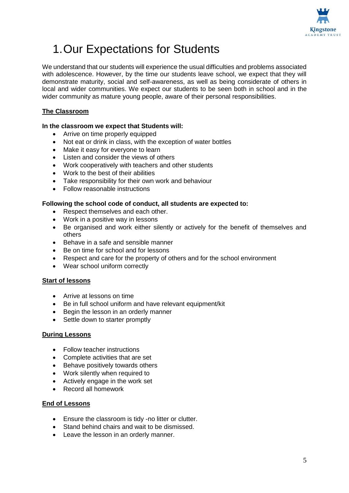

## 1.Our Expectations for Students

We understand that our students will experience the usual difficulties and problems associated with adolescence. However, by the time our students leave school, we expect that they will demonstrate maturity, social and self-awareness, as well as being considerate of others in local and wider communities. We expect our students to be seen both in school and in the wider community as mature young people, aware of their personal responsibilities.

#### **The Classroom**

#### **In the classroom we expect that Students will:**

- Arrive on time properly equipped
- Not eat or drink in class, with the exception of water bottles
- Make it easy for everyone to learn
- Listen and consider the views of others
- Work cooperatively with teachers and other students
- Work to the best of their abilities
- Take responsibility for their own work and behaviour
- Follow reasonable instructions

#### **Following the school code of conduct, all students are expected to:**

- Respect themselves and each other.
- Work in a positive way in lessons
- Be organised and work either silently or actively for the benefit of themselves and others
- Behave in a safe and sensible manner
- Be on time for school and for lessons
- Respect and care for the property of others and for the school environment
- Wear school uniform correctly

#### **Start of lessons**

- Arrive at lessons on time
- Be in full school uniform and have relevant equipment/kit
- Begin the lesson in an orderly manner
- Settle down to starter promptly

#### **During Lessons**

- Follow teacher instructions
- Complete activities that are set
- Behave positively towards others
- Work silently when required to
- Actively engage in the work set
- Record all homework

#### **End of Lessons**

- Ensure the classroom is tidy -no litter or clutter.
- Stand behind chairs and wait to be dismissed.
- Leave the lesson in an orderly manner.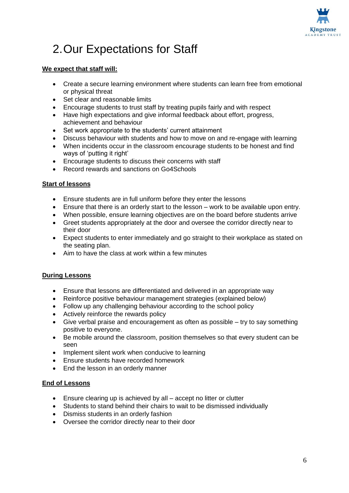

## 2.Our Expectations for Staff

#### **We expect that staff will:**

- Create a secure learning environment where students can learn free from emotional or physical threat
- Set clear and reasonable limits
- Encourage students to trust staff by treating pupils fairly and with respect
- Have high expectations and give informal feedback about effort, progress, achievement and behaviour
- Set work appropriate to the students' current attainment
- Discuss behaviour with students and how to move on and re-engage with learning
- When incidents occur in the classroom encourage students to be honest and find ways of 'putting it right'
- Encourage students to discuss their concerns with staff
- Record rewards and sanctions on Go4Schools

#### **Start of lessons**

- Ensure students are in full uniform before they enter the lessons
- Ensure that there is an orderly start to the lesson work to be available upon entry.
- When possible, ensure learning objectives are on the board before students arrive
- Greet students appropriately at the door and oversee the corridor directly near to their door
- Expect students to enter immediately and go straight to their workplace as stated on the seating plan.
- Aim to have the class at work within a few minutes

#### **During Lessons**

- Ensure that lessons are differentiated and delivered in an appropriate way
- Reinforce positive behaviour management strategies (explained below)
- Follow up any challenging behaviour according to the school policy
- Actively reinforce the rewards policy
- Give verbal praise and encouragement as often as possible try to say something positive to everyone.
- Be mobile around the classroom, position themselves so that every student can be seen
- Implement silent work when conducive to learning
- Ensure students have recorded homework
- End the lesson in an orderly manner

#### **End of Lessons**

- Ensure clearing up is achieved by all accept no litter or clutter
- Students to stand behind their chairs to wait to be dismissed individually
- Dismiss students in an orderly fashion
- Oversee the corridor directly near to their door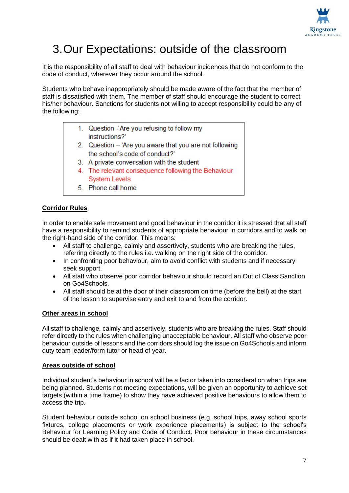

### 3.Our Expectations: outside of the classroom

It is the responsibility of all staff to deal with behaviour incidences that do not conform to the code of conduct, wherever they occur around the school.

Students who behave inappropriately should be made aware of the fact that the member of staff is dissatisfied with them. The member of staff should encourage the student to correct his/her behaviour. Sanctions for students not willing to accept responsibility could be any of the following:

- 1. Question Are you refusing to follow my instructions?'
- 2. Question 'Are you aware that you are not following the school's code of conduct?'
- 3. A private conversation with the student
- 4. The relevant consequence following the Behaviour System Levels.
- 5. Phone call home

#### **Corridor Rules**

In order to enable safe movement and good behaviour in the corridor it is stressed that all staff have a responsibility to remind students of appropriate behaviour in corridors and to walk on the right-hand side of the corridor. This means:

- All staff to challenge, calmly and assertively, students who are breaking the rules, referring directly to the rules i.e. walking on the right side of the corridor.
- In confronting poor behaviour, aim to avoid conflict with students and if necessary seek support.
- All staff who observe poor corridor behaviour should record an Out of Class Sanction on Go4Schools.
- All staff should be at the door of their classroom on time (before the bell) at the start of the lesson to supervise entry and exit to and from the corridor.

#### **Other areas in school**

All staff to challenge, calmly and assertively, students who are breaking the rules. Staff should refer directly to the rules when challenging unacceptable behaviour. All staff who observe poor behaviour outside of lessons and the corridors should log the issue on Go4Schools and inform duty team leader/form tutor or head of year.

#### **Areas outside of school**

Individual student's behaviour in school will be a factor taken into consideration when trips are being planned. Students not meeting expectations, will be given an opportunity to achieve set targets (within a time frame) to show they have achieved positive behaviours to allow them to access the trip.

Student behaviour outside school on school business (e.g. school trips, away school sports fixtures, college placements or work experience placements) is subject to the school's Behaviour for Learning Policy and Code of Conduct. Poor behaviour in these circumstances should be dealt with as if it had taken place in school.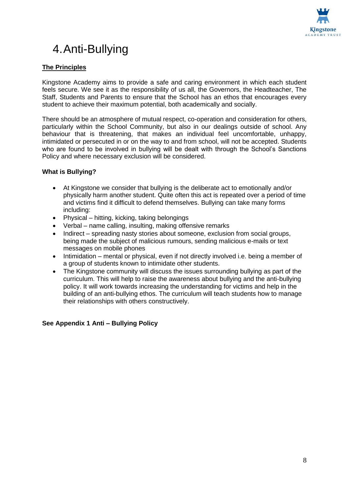

## 4.Anti-Bullying

#### **The Principles**

Kingstone Academy aims to provide a safe and caring environment in which each student feels secure. We see it as the responsibility of us all, the Governors, the Headteacher, The Staff, Students and Parents to ensure that the School has an ethos that encourages every student to achieve their maximum potential, both academically and socially.

There should be an atmosphere of mutual respect, co-operation and consideration for others, particularly within the School Community, but also in our dealings outside of school. Any behaviour that is threatening, that makes an individual feel uncomfortable, unhappy, intimidated or persecuted in or on the way to and from school, will not be accepted. Students who are found to be involved in bullying will be dealt with through the School's Sanctions Policy and where necessary exclusion will be considered.

#### **What is Bullying?**

- At Kingstone we consider that bullying is the deliberate act to emotionally and/or physically harm another student. Quite often this act is repeated over a period of time and victims find it difficult to defend themselves. Bullying can take many forms including:
- Physical hitting, kicking, taking belongings
- Verbal name calling, insulting, making offensive remarks
- Indirect spreading nasty stories about someone, exclusion from social groups, being made the subject of malicious rumours, sending malicious e-mails or text messages on mobile phones
- Intimidation mental or physical, even if not directly involved i.e. being a member of a group of students known to intimidate other students.
- The Kingstone community will discuss the issues surrounding bullying as part of the curriculum. This will help to raise the awareness about bullying and the anti-bullying policy. It will work towards increasing the understanding for victims and help in the building of an anti-bullying ethos. The curriculum will teach students how to manage their relationships with others constructively.

#### **See Appendix 1 Anti – Bullying Policy**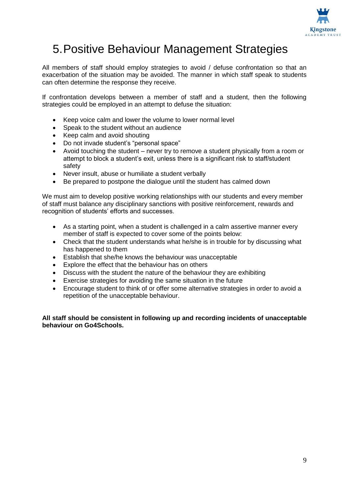

### 5.Positive Behaviour Management Strategies

All members of staff should employ strategies to avoid / defuse confrontation so that an exacerbation of the situation may be avoided. The manner in which staff speak to students can often determine the response they receive.

If confrontation develops between a member of staff and a student, then the following strategies could be employed in an attempt to defuse the situation:

- Keep voice calm and lower the volume to lower normal level
- Speak to the student without an audience
- Keep calm and avoid shouting
- Do not invade student's "personal space"
- Avoid touching the student never try to remove a student physically from a room or attempt to block a student's exit, unless there is a significant risk to staff/student safety
- Never insult, abuse or humiliate a student verbally
- Be prepared to postpone the dialogue until the student has calmed down

We must aim to develop positive working relationships with our students and every member of staff must balance any disciplinary sanctions with positive reinforcement, rewards and recognition of students' efforts and successes.

- As a starting point, when a student is challenged in a calm assertive manner every member of staff is expected to cover some of the points below:
- Check that the student understands what he/she is in trouble for by discussing what has happened to them
- Establish that she/he knows the behaviour was unacceptable
- Explore the effect that the behaviour has on others
- Discuss with the student the nature of the behaviour they are exhibiting
- Exercise strategies for avoiding the same situation in the future
- Encourage student to think of or offer some alternative strategies in order to avoid a repetition of the unacceptable behaviour.

**All staff should be consistent in following up and recording incidents of unacceptable behaviour on Go4Schools.**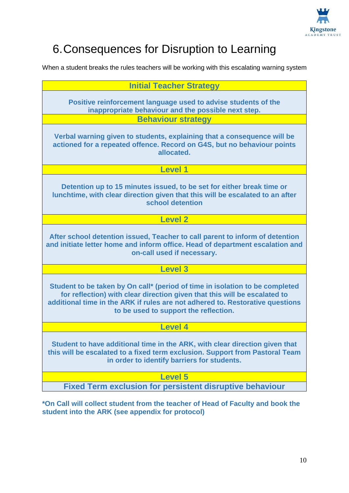

## 6.Consequences for Disruption to Learning

When a student breaks the rules teachers will be working with this escalating warning system

| <b>Initial Teacher Strategy</b>                                                                                                                                                                                                                                                     |  |  |
|-------------------------------------------------------------------------------------------------------------------------------------------------------------------------------------------------------------------------------------------------------------------------------------|--|--|
| Positive reinforcement language used to advise students of the<br>inappropriate behaviour and the possible next step.                                                                                                                                                               |  |  |
| <b>Behaviour strategy</b>                                                                                                                                                                                                                                                           |  |  |
| Verbal warning given to students, explaining that a consequence will be<br>actioned for a repeated offence. Record on G4S, but no behaviour points<br>allocated.                                                                                                                    |  |  |
| <b>Level 1</b>                                                                                                                                                                                                                                                                      |  |  |
| Detention up to 15 minutes issued, to be set for either break time or<br>lunchtime, with clear direction given that this will be escalated to an after<br>school detention                                                                                                          |  |  |
| <b>Level 2</b>                                                                                                                                                                                                                                                                      |  |  |
| After school detention issued, Teacher to call parent to inform of detention<br>and initiate letter home and inform office. Head of department escalation and<br>on-call used if necessary.                                                                                         |  |  |
| <b>Level 3</b>                                                                                                                                                                                                                                                                      |  |  |
| Student to be taken by On call* (period of time in isolation to be completed<br>for reflection) with clear direction given that this will be escalated to<br>additional time in the ARK if rules are not adhered to. Restorative questions<br>to be used to support the reflection. |  |  |
| <b>Level 4</b>                                                                                                                                                                                                                                                                      |  |  |
| Student to have additional time in the ARK, with clear direction given that<br>this will be escalated to a fixed term exclusion. Support from Pastoral Team<br>in order to identify barriers for students.                                                                          |  |  |
| <b>Level 5</b>                                                                                                                                                                                                                                                                      |  |  |
| <b>Fixed Term exclusion for persistent disruptive behaviour</b>                                                                                                                                                                                                                     |  |  |
|                                                                                                                                                                                                                                                                                     |  |  |

**\*On Call will collect student from the teacher of Head of Faculty and book the student into the ARK (see appendix for protocol)**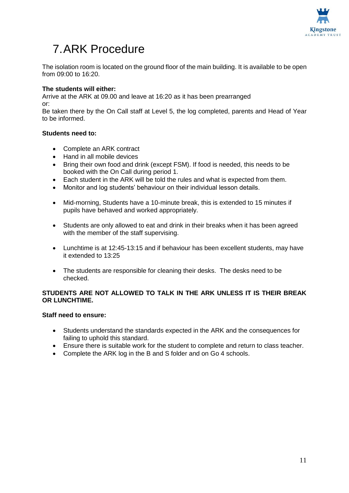

### 7.ARK Procedure

The isolation room is located on the ground floor of the main building. It is available to be open from 09:00 to 16:20.

#### **The students will either:**

Arrive at the ARK at 09.00 and leave at 16:20 as it has been prearranged or:

Be taken there by the On Call staff at Level 5, the log completed, parents and Head of Year to be informed.

#### **Students need to:**

- Complete an ARK contract
- Hand in all mobile devices
- Bring their own food and drink (except FSM). If food is needed, this needs to be booked with the On Call during period 1.
- Each student in the ARK will be told the rules and what is expected from them.
- Monitor and log students' behaviour on their individual lesson details.
- Mid-morning, Students have a 10-minute break, this is extended to 15 minutes if pupils have behaved and worked appropriately.
- Students are only allowed to eat and drink in their breaks when it has been agreed with the member of the staff supervising.
- Lunchtime is at 12:45-13:15 and if behaviour has been excellent students, may have it extended to 13:25
- The students are responsible for cleaning their desks. The desks need to be checked.

#### **STUDENTS ARE NOT ALLOWED TO TALK IN THE ARK UNLESS IT IS THEIR BREAK OR LUNCHTIME.**

#### **Staff need to ensure:**

- Students understand the standards expected in the ARK and the consequences for failing to uphold this standard.
- Ensure there is suitable work for the student to complete and return to class teacher.
- Complete the ARK log in the B and S folder and on Go 4 schools.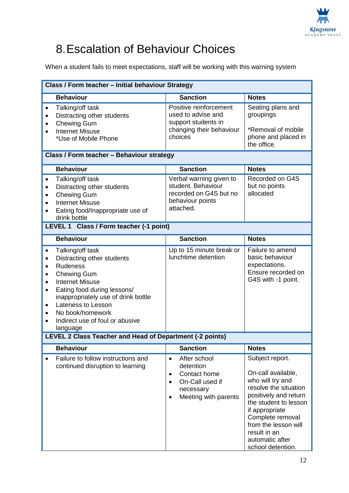

## 8.Escalation of Behaviour Choices

When a student fails to meet expectations, staff will be working with this warning system

| <b>Class / Form teacher - Initial behaviour Strategy</b>                                                                                                                                                                                                                                                   |                                                                                                                                          |                                                                                                                                                                                                                                                            |  |  |
|------------------------------------------------------------------------------------------------------------------------------------------------------------------------------------------------------------------------------------------------------------------------------------------------------------|------------------------------------------------------------------------------------------------------------------------------------------|------------------------------------------------------------------------------------------------------------------------------------------------------------------------------------------------------------------------------------------------------------|--|--|
| <b>Behaviour</b>                                                                                                                                                                                                                                                                                           | <b>Sanction</b>                                                                                                                          | <b>Notes</b>                                                                                                                                                                                                                                               |  |  |
| Talking/off task<br>$\bullet$<br>Distracting other students<br><b>Chewing Gum</b><br><b>Internet Misuse</b><br>*Use of Mobile Phone                                                                                                                                                                        | Positive reinforcement<br>used to advise and<br>support students in<br>changing their behaviour<br>choices                               | Seating plans and<br>groupings<br>*Removal of mobile<br>phone and placed in<br>the office.                                                                                                                                                                 |  |  |
| Class / Form teacher - Behaviour strategy                                                                                                                                                                                                                                                                  |                                                                                                                                          |                                                                                                                                                                                                                                                            |  |  |
| <b>Behaviour</b>                                                                                                                                                                                                                                                                                           | <b>Sanction</b>                                                                                                                          | <b>Notes</b>                                                                                                                                                                                                                                               |  |  |
| Talking/off task<br>$\bullet$<br>Distracting other students<br><b>Chewing Gum</b><br><b>Internet Misuse</b><br>Eating food/Inappropriate use of<br>drink bottle                                                                                                                                            | Verbal warning given to<br>student. Behaviour<br>recorded on G4S but no<br>behaviour points<br>attached.                                 | Recorded on G4S<br>but no points<br>allocated                                                                                                                                                                                                              |  |  |
| LEVEL 1 Class / Form teacher (-1 point)                                                                                                                                                                                                                                                                    |                                                                                                                                          |                                                                                                                                                                                                                                                            |  |  |
| <b>Behaviour</b>                                                                                                                                                                                                                                                                                           | <b>Sanction</b>                                                                                                                          | <b>Notes</b>                                                                                                                                                                                                                                               |  |  |
| Talking/off task<br>Distracting other students<br><b>Rudeness</b><br><b>Chewing Gum</b><br><b>Internet Misuse</b><br>Eating food during lessons/<br>$\bullet$<br>inappropriately use of drink bottle<br>Lateness to Lesson<br>$\bullet$<br>No book/homework<br>Indirect use of foul or abusive<br>language | Up to 15 minute break or<br>lunchtime detention                                                                                          | Failure to amend<br>basic behaviour<br>expectations.<br>Ensure recorded on<br>G4S with -1 point.                                                                                                                                                           |  |  |
| LEVEL 2 Class Teacher and Head of Department (-2 points)                                                                                                                                                                                                                                                   |                                                                                                                                          |                                                                                                                                                                                                                                                            |  |  |
| <b>Behaviour</b>                                                                                                                                                                                                                                                                                           | <b>Sanction</b>                                                                                                                          | <b>Notes</b>                                                                                                                                                                                                                                               |  |  |
| Failure to follow instructions and<br>continued disruption to learning                                                                                                                                                                                                                                     | After school<br>$\bullet$<br>detention<br>Contact home<br>$\bullet$<br>On-Call used if<br>necessary<br>Meeting with parents<br>$\bullet$ | Subject report.<br>On-call available,<br>who will try and<br>resolve the situation<br>positively and return<br>the student to lesson<br>if appropriate<br>Complete removal<br>from the lesson will<br>result in an<br>automatic after<br>school detention. |  |  |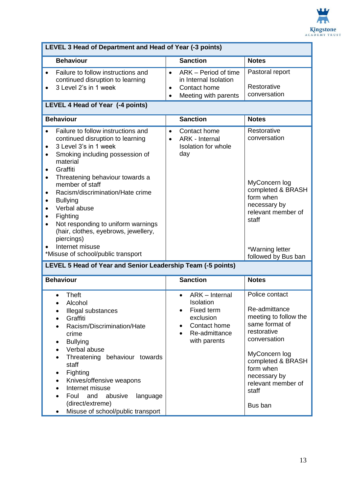

| LEVEL 3 Head of Department and Head of Year (-3 points)                                                                                                                                                                                                                                                                                                                                                                                     |                                                                                                                                   |                                                                                                                                                                                                                        |  |  |
|---------------------------------------------------------------------------------------------------------------------------------------------------------------------------------------------------------------------------------------------------------------------------------------------------------------------------------------------------------------------------------------------------------------------------------------------|-----------------------------------------------------------------------------------------------------------------------------------|------------------------------------------------------------------------------------------------------------------------------------------------------------------------------------------------------------------------|--|--|
| <b>Behaviour</b>                                                                                                                                                                                                                                                                                                                                                                                                                            | <b>Sanction</b>                                                                                                                   | <b>Notes</b>                                                                                                                                                                                                           |  |  |
| Failure to follow instructions and<br>continued disruption to learning<br>3 Level 2's in 1 week<br>LEVEL 4 Head of Year (-4 points)                                                                                                                                                                                                                                                                                                         | ARK - Period of time<br>$\bullet$<br>in Internal Isolation<br>Contact home<br>$\bullet$<br>Meeting with parents<br>$\bullet$      | Pastoral report<br>Restorative<br>conversation                                                                                                                                                                         |  |  |
| <b>Behaviour</b>                                                                                                                                                                                                                                                                                                                                                                                                                            | <b>Sanction</b>                                                                                                                   | <b>Notes</b>                                                                                                                                                                                                           |  |  |
| Failure to follow instructions and<br>continued disruption to learning<br>3 Level 3's in 1 week<br>$\bullet$<br>Smoking including possession of<br>$\bullet$<br>material<br>Graffiti<br>$\bullet$<br>Threatening behaviour towards a<br>member of staff<br>Racism/discrimination/Hate crime<br><b>Bullying</b><br>٠<br>Verbal abuse<br>Fighting<br>Not responding to uniform warnings<br>(hair, clothes, eyebrows, jewellery,<br>piercings) | Contact home<br>$\bullet$<br>ARK - Internal<br>$\bullet$<br><b>Isolation for whole</b><br>day                                     | Restorative<br>conversation<br>MyConcern log<br>completed & BRASH<br>form when<br>necessary by<br>relevant member of<br>staff                                                                                          |  |  |
| Internet misuse<br>*Misuse of school/public transport                                                                                                                                                                                                                                                                                                                                                                                       |                                                                                                                                   | *Warning letter<br>followed by Bus ban                                                                                                                                                                                 |  |  |
| LEVEL 5 Head of Year and Senior Leadership Team (-5 points)                                                                                                                                                                                                                                                                                                                                                                                 |                                                                                                                                   |                                                                                                                                                                                                                        |  |  |
| <b>Behaviour</b>                                                                                                                                                                                                                                                                                                                                                                                                                            | <b>Sanction</b>                                                                                                                   | <b>Notes</b>                                                                                                                                                                                                           |  |  |
| <b>Theft</b><br>Alcohol<br>Illegal substances<br>Graffiti<br>Racism/Discrimination/Hate<br>crime<br><b>Bullying</b><br>Verbal abuse<br>Threatening behaviour towards<br>staff<br>Fighting<br>٠<br>Knives/offensive weapons<br>Internet misuse<br>Foul<br>and<br>abusive<br>language<br>(direct/extreme)<br>Misuse of school/public transport                                                                                                | ARK - Internal<br>Isolation<br>Fixed term<br>exclusion<br>Contact home<br>$\bullet$<br>Re-admittance<br>$\bullet$<br>with parents | Police contact<br>Re-admittance<br>meeting to follow the<br>same format of<br>restorative<br>conversation<br>MyConcern log<br>completed & BRASH<br>form when<br>necessary by<br>relevant member of<br>staff<br>Bus ban |  |  |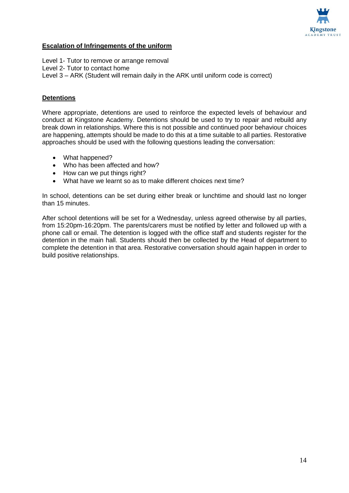

#### **Escalation of Infringements of the uniform**

Level 1- Tutor to remove or arrange removal Level 2- Tutor to contact home Level 3 – ARK (Student will remain daily in the ARK until uniform code is correct)

#### **Detentions**

Where appropriate, detentions are used to reinforce the expected levels of behaviour and conduct at Kingstone Academy. Detentions should be used to try to repair and rebuild any break down in relationships. Where this is not possible and continued poor behaviour choices are happening, attempts should be made to do this at a time suitable to all parties. Restorative approaches should be used with the following questions leading the conversation:

- What happened?
- Who has been affected and how?
- How can we put things right?
- What have we learnt so as to make different choices next time?

In school, detentions can be set during either break or lunchtime and should last no longer than 15 minutes.

After school detentions will be set for a Wednesday, unless agreed otherwise by all parties, from 15:20pm-16:20pm. The parents/carers must be notified by letter and followed up with a phone call or email. The detention is logged with the office staff and students register for the detention in the main hall. Students should then be collected by the Head of department to complete the detention in that area. Restorative conversation should again happen in order to build positive relationships.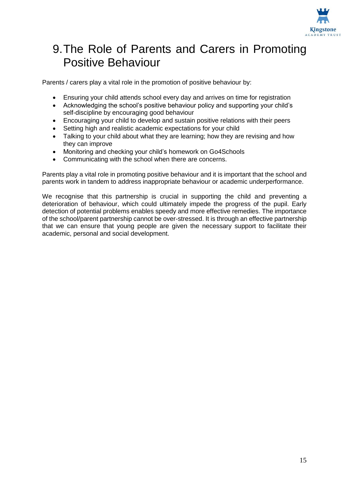

### 9.The Role of Parents and Carers in Promoting Positive Behaviour

Parents / carers play a vital role in the promotion of positive behaviour by:

- Ensuring your child attends school every day and arrives on time for registration
- Acknowledging the school's positive behaviour policy and supporting your child's self-discipline by encouraging good behaviour
- Encouraging your child to develop and sustain positive relations with their peers
- Setting high and realistic academic expectations for your child
- Talking to your child about what they are learning; how they are revising and how they can improve
- Monitoring and checking your child's homework on Go4Schools
- Communicating with the school when there are concerns.

Parents play a vital role in promoting positive behaviour and it is important that the school and parents work in tandem to address inappropriate behaviour or academic underperformance.

We recognise that this partnership is crucial in supporting the child and preventing a deterioration of behaviour, which could ultimately impede the progress of the pupil. Early detection of potential problems enables speedy and more effective remedies. The importance of the school/parent partnership cannot be over-stressed. It is through an effective partnership that we can ensure that young people are given the necessary support to facilitate their academic, personal and social development.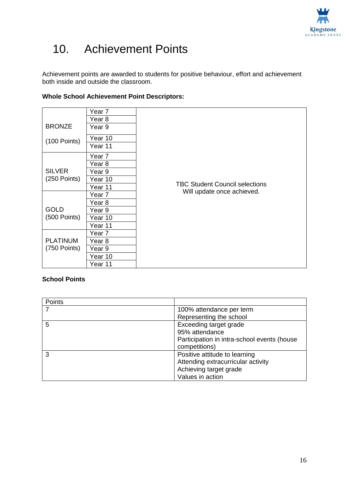

## 10. Achievement Points

Achievement points are awarded to students for positive behaviour, effort and achievement both inside and outside the classroom.

|                               | Year 7  |                                       |
|-------------------------------|---------|---------------------------------------|
|                               | Year 8  |                                       |
| <b>BRONZE</b>                 | Year 9  |                                       |
|                               | Year 10 |                                       |
| $(100$ Points)                | Year 11 |                                       |
|                               |         |                                       |
|                               | Year 7  |                                       |
|                               | Year 8  |                                       |
| <b>SILVER</b>                 | Year 9  |                                       |
| $(250$ Points)                | Year 10 |                                       |
|                               | Year 11 | <b>TBC Student Council selections</b> |
|                               | Year 7  | Will update once achieved.            |
|                               | Year 8  |                                       |
| <b>GOLD</b><br>$(500$ Points) | Year 9  |                                       |
|                               | Year 10 |                                       |
|                               | Year 11 |                                       |
|                               | Year 7  |                                       |
| <b>PLATINUM</b>               | Year 8  |                                       |
| (750 Points)                  | Year 9  |                                       |
|                               | Year 10 |                                       |
|                               | Year 11 |                                       |

### **Whole School Achievement Point Descriptors:**

#### **School Points**

| Points |                                             |
|--------|---------------------------------------------|
|        | 100% attendance per term                    |
|        | Representing the school                     |
| 5      | Exceeding target grade                      |
|        | 95% attendance                              |
|        | Participation in intra-school events (house |
|        | competitions)                               |
| 3      | Positive attitude to learning               |
|        | Attending extracurricular activity          |
|        | Achieving target grade                      |
|        | Values in action                            |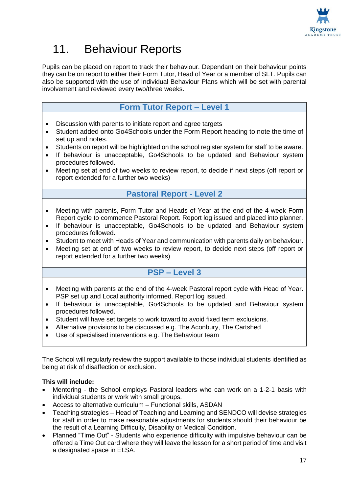

## 11. Behaviour Reports

Pupils can be placed on report to track their behaviour. Dependant on their behaviour points they can be on report to either their Form Tutor, Head of Year or a member of SLT. Pupils can also be supported with the use of Individual Behaviour Plans which will be set with parental involvement and reviewed every two/three weeks.

### **Form Tutor Report – Level 1**

- Discussion with parents to initiate report and agree targets
- Student added onto Go4Schools under the Form Report heading to note the time of set up and notes.
- Students on report will be highlighted on the school register system for staff to be aware.
- If behaviour is unacceptable, Go4Schools to be updated and Behaviour system procedures followed.
- Meeting set at end of two weeks to review report, to decide if next steps (off report or report extended for a further two weeks)

#### **Pastoral Report - Level 2**

- Meeting with parents, Form Tutor and Heads of Year at the end of the 4-week Form Report cycle to commence Pastoral Report. Report log issued and placed into planner.
- If behaviour is unacceptable, Go4Schools to be updated and Behaviour system procedures followed.
- Student to meet with Heads of Year and communication with parents daily on behaviour.
- Meeting set at end of two weeks to review report, to decide next steps (off report or report extended for a further two weeks)

### **PSP – Level 3**

- Meeting with parents at the end of the 4-week Pastoral report cycle with Head of Year. PSP set up and Local authority informed. Report log issued.
- If behaviour is unacceptable, Go4Schools to be updated and Behaviour system procedures followed.
- Student will have set targets to work toward to avoid fixed term exclusions.
- Alternative provisions to be discussed e.g. The Aconbury, The Cartshed
- Use of specialised interventions e.g. The Behaviour team

The School will regularly review the support available to those individual students identified as being at risk of disaffection or exclusion.

#### **This will include:**

- Mentoring the School employs Pastoral leaders who can work on a 1-2-1 basis with individual students or work with small groups.
- Access to alternative curriculum Functional skills, ASDAN
- Teaching strategies Head of Teaching and Learning and SENDCO will devise strategies for staff in order to make reasonable adjustments for students should their behaviour be the result of a Learning Difficulty, Disability or Medical Condition.
- Planned "Time Out" Students who experience difficulty with impulsive behaviour can be offered a Time Out card where they will leave the lesson for a short period of time and visit a designated space in ELSA.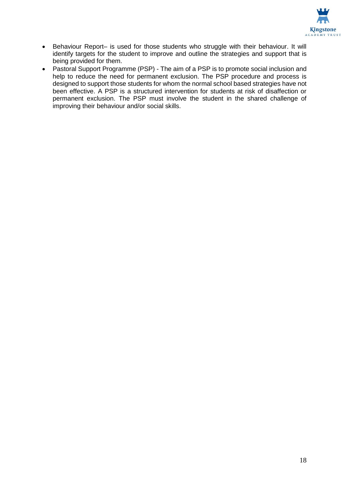

- Behaviour Report- is used for those students who struggle with their behaviour. It will identify targets for the student to improve and outline the strategies and support that is being provided for them.
- Pastoral Support Programme (PSP) The aim of a PSP is to promote social inclusion and help to reduce the need for permanent exclusion. The PSP procedure and process is designed to support those students for whom the normal school based strategies have not been effective. A PSP is a structured intervention for students at risk of disaffection or permanent exclusion. The PSP must involve the student in the shared challenge of improving their behaviour and/or social skills.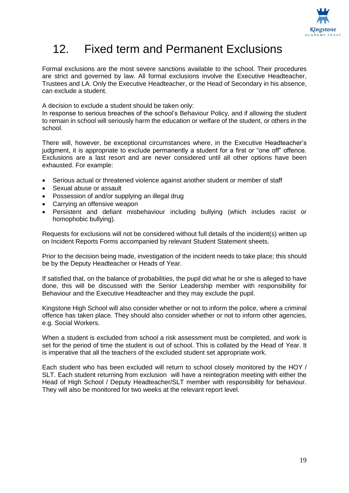

## 12. Fixed term and Permanent Exclusions

Formal exclusions are the most severe sanctions available to the school. Their procedures are strict and governed by law. All formal exclusions involve the Executive Headteacher, Trustees and LA. Only the Executive Headteacher, or the Head of Secondary in his absence, can exclude a student.

A decision to exclude a student should be taken only:

In response to serious breaches of the school's Behaviour Policy, and if allowing the student to remain in school will seriously harm the education or welfare of the student, or others in the school.

There will, however, be exceptional circumstances where, in the Executive Headteacher's judgment, it is appropriate to exclude permanently a student for a first or "one off" offence. Exclusions are a last resort and are never considered until all other options have been exhausted. For example:

- Serious actual or threatened violence against another student or member of staff
- Sexual abuse or assault
- Possession of and/or supplying an illegal drug
- Carrying an offensive weapon
- Persistent and defiant misbehaviour including bullying (which includes racist or homophobic bullying).

Requests for exclusions will not be considered without full details of the incident(s) written up on Incident Reports Forms accompanied by relevant Student Statement sheets.

Prior to the decision being made, investigation of the incident needs to take place; this should be by the Deputy Headteacher or Heads of Year.

If satisfied that, on the balance of probabilities, the pupil did what he or she is alleged to have done, this will be discussed with the Senior Leadership member with responsibility for Behaviour and the Executive Headteacher and they may exclude the pupil.

Kingstone High School will also consider whether or not to inform the police, where a criminal offence has taken place. They should also consider whether or not to inform other agencies, e.g. Social Workers.

When a student is excluded from school a risk assessment must be completed, and work is set for the period of time the student is out of school. This is collated by the Head of Year. It is imperative that all the teachers of the excluded student set appropriate work.

Each student who has been excluded will return to school closely monitored by the HOY / SLT. Each student returning from exclusion will have a reintegration meeting with either the Head of High School / Deputy Headteacher/SLT member with responsibility for behaviour. They will also be monitored for two weeks at the relevant report level.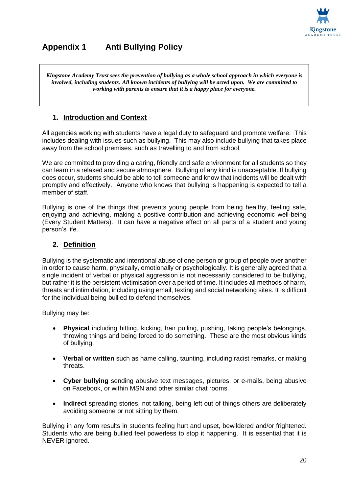

### **Appendix 1 Anti Bullying Policy**

*Kingstone Academy Trust sees the prevention of bullying as a whole school approach in which everyone is involved, including students. All known incidents of bullying will be acted upon. We are committed to working with parents to ensure that it is a happy place for everyone.*

### **1. Introduction and Context**

All agencies working with students have a legal duty to safeguard and promote welfare. This includes dealing with issues such as bullying. This may also include bullying that takes place away from the school premises, such as travelling to and from school.

We are committed to providing a caring, friendly and safe environment for all students so they can learn in a relaxed and secure atmosphere. Bullying of any kind is unacceptable. If bullying does occur, students should be able to tell someone and know that incidents will be dealt with promptly and effectively. Anyone who knows that bullying is happening is expected to tell a member of staff.

Bullying is one of the things that prevents young people from being healthy, feeling safe, enjoying and achieving, making a positive contribution and achieving economic well-being (Every Student Matters). It can have a negative effect on all parts of a student and young person's life.

#### **2. Definition**

Bullying is the systematic and intentional abuse of one person or group of people over another in order to cause harm, physically, emotionally or psychologically. It is generally agreed that a single incident of verbal or physical aggression is not necessarily considered to be bullying, but rather it is the persistent victimisation over a period of time. It includes all methods of harm, threats and intimidation, including using email, texting and social networking sites. It is difficult for the individual being bullied to defend themselves.

Bullying may be:

- **Physical** including hitting, kicking, hair pulling, pushing, taking people's belongings, throwing things and being forced to do something. These are the most obvious kinds of bullying.
- **Verbal or written** such as name calling, taunting, including racist remarks, or making threats.
- **Cyber bullying** sending abusive text messages, pictures, or e-mails, being abusive on Facebook, or within MSN and other similar chat rooms.
- **Indirect** spreading stories, not talking, being left out of things others are deliberately avoiding someone or not sitting by them.

Bullying in any form results in students feeling hurt and upset, bewildered and/or frightened. Students who are being bullied feel powerless to stop it happening. It is essential that it is NEVER ignored.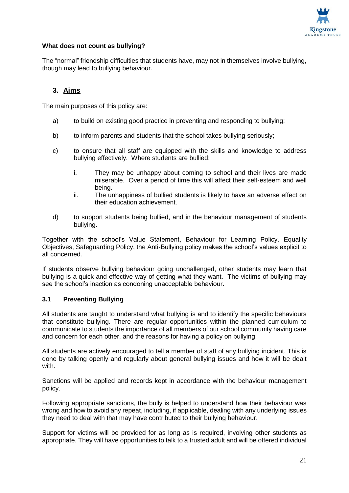

#### **What does not count as bullying?**

The "normal" friendship difficulties that students have, may not in themselves involve bullying, though may lead to bullying behaviour.

#### **3. Aims**

The main purposes of this policy are:

- a) to build on existing good practice in preventing and responding to bullying;
- b) to inform parents and students that the school takes bullying seriously;
- c) to ensure that all staff are equipped with the skills and knowledge to address bullying effectively. Where students are bullied:
	- i. They may be unhappy about coming to school and their lives are made miserable. Over a period of time this will affect their self-esteem and well being.
	- ii. The unhappiness of bullied students is likely to have an adverse effect on their education achievement.
- d) to support students being bullied, and in the behaviour management of students bullying.

Together with the school's Value Statement, Behaviour for Learning Policy, Equality Objectives, Safeguarding Policy, the Anti-Bullying policy makes the school's values explicit to all concerned.

If students observe bullying behaviour going unchallenged, other students may learn that bullying is a quick and effective way of getting what they want. The victims of bullying may see the school's inaction as condoning unacceptable behaviour.

#### **3.1 Preventing Bullying**

All students are taught to understand what bullying is and to identify the specific behaviours that constitute bullying. There are regular opportunities within the planned curriculum to communicate to students the importance of all members of our school community having care and concern for each other, and the reasons for having a policy on bullying.

All students are actively encouraged to tell a member of staff of any bullying incident. This is done by talking openly and regularly about general bullying issues and how it will be dealt with.

Sanctions will be applied and records kept in accordance with the behaviour management policy.

Following appropriate sanctions, the bully is helped to understand how their behaviour was wrong and how to avoid any repeat, including, if applicable, dealing with any underlying issues they need to deal with that may have contributed to their bullying behaviour.

Support for victims will be provided for as long as is required, involving other students as appropriate. They will have opportunities to talk to a trusted adult and will be offered individual